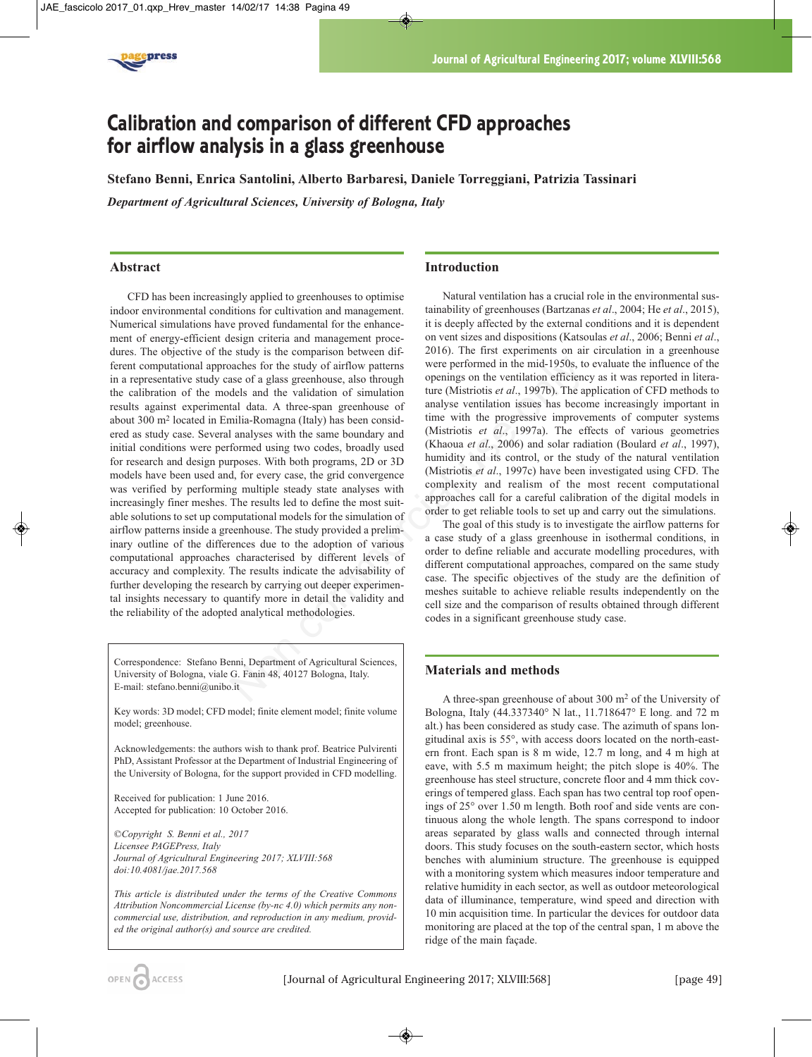

# **Calibration and comparison of different CFD approaches for airflow analysis in a glass greenhouse**

**Stefano Benni, Enrica Santolini, Alberto Barbaresi, Daniele Torreggiani, Patrizia Tassinari**

*Department of Agricultural Sciences, University of Bologna, Italy*

## **Abstract**

CFD has been increasingly applied to greenhouses to optimise indoor environmental conditions for cultivation and management. Numerical simulations have proved fundamental for the enhancement of energy-efficient design criteria and management procedures. The objective of the study is the comparison between different computational approaches for the study of airflow patterns in a representative study case of a glass greenhouse, also through the calibration of the models and the validation of simulation results against experimental data. A three-span greenhouse of about 300 m2 located in Emilia-Romagna (Italy) has been considered as study case. Several analyses with the same boundary and initial conditions were performed using two codes, broadly used for research and design purposes. With both programs, 2D or 3D models have been used and, for every case, the grid convergence was verified by performing multiple steady state analyses with increasingly finer meshes. The results led to define the most suitable solutions to set up computational models for the simulation of airflow patterns inside a greenhouse. The study provided a preliminary outline of the differences due to the adoption of various computational approaches characterised by different levels of accuracy and complexity. The results indicate the advisability of further developing the research by carrying out deeper experimental insights necessary to quantify more in detail the validity and the reliability of the adopted analytical methodologies. aaches for the study of airflow patterns<br>were performed in the mid-1950s, to<br>sace of a glass greenhouse, also through<br>
the (Mistriotis *et al.*, 1997b). The a<br>
dels and the validation of simulation efficiences that<br>
alta

Correspondence: Stefano Benni, Department of Agricultural Sciences, University of Bologna, viale G. Fanin 48, 40127 Bologna, Italy. E-mail: stefano.benni@unibo.it

Key words: 3D model; CFD model; finite element model; finite volume model; greenhouse.

Acknowledgements: the authors wish to thank prof. Beatrice Pulvirenti PhD, Assistant Professor at the Department of Industrial Engineering of the University of Bologna, for the support provided in CFD modelling.

Received for publication: 1 June 2016. Accepted for publication: 10 October 2016.

*©Copyright S. Benni et al., 2017 Licensee PAGEPress, Italy Journal of Agricultural Engineering 2017; XLVIII:568 doi:10.4081/jae.2017.568*

*This article is distributed under the terms of the Creative Commons Attribution Noncommercial License (by-nc 4.0) which permits any noncommercial use, distribution, and reproduction in any medium, provided the original author(s) and source are credited.*

# **Introduction**

Natural ventilation has a crucial role in the environmental sustainability of greenhouses (Bartzanas *et al*., 2004; He *et al*., 2015), it is deeply affected by the external conditions and it is dependent on vent sizes and dispositions (Katsoulas *et al*., 2006; Benni *et al*., 2016). The first experiments on air circulation in a greenhouse were performed in the mid-1950s, to evaluate the influence of the openings on the ventilation efficiency as it was reported in literature (Mistriotis *et al*., 1997b). The application of CFD methods to analyse ventilation issues has become increasingly important in time with the progressive improvements of computer systems (Mistriotis *et al*., 1997a). The effects of various geometries (Khaoua *et al*., 2006) and solar radiation (Boulard *et al*., 1997), humidity and its control, or the study of the natural ventilation (Mistriotis *et al*., 1997c) have been investigated using CFD. The complexity and realism of the most recent computational approaches call for a careful calibration of the digital models in order to get reliable tools to set up and carry out the simulations.

The goal of this study is to investigate the airflow patterns for a case study of a glass greenhouse in isothermal conditions, in order to define reliable and accurate modelling procedures, with different computational approaches, compared on the same study case. The specific objectives of the study are the definition of meshes suitable to achieve reliable results independently on the cell size and the comparison of results obtained through different codes in a significant greenhouse study case.

# **Materials and methods**

A three-span greenhouse of about 300 m2 of the University of Bologna, Italy (44.337340° N lat., 11.718647° E long. and 72 m alt.) has been considered as study case. The azimuth of spans longitudinal axis is 55°, with access doors located on the north-eastern front. Each span is 8 m wide, 12.7 m long, and 4 m high at eave, with 5.5 m maximum height; the pitch slope is 40%. The greenhouse has steel structure, concrete floor and 4 mm thick coverings of tempered glass. Each span has two central top roof openings of 25° over 1.50 m length. Both roof and side vents are continuous along the whole length. The spans correspond to indoor areas separated by glass walls and connected through internal doors. This study focuses on the south-eastern sector, which hosts benches with aluminium structure. The greenhouse is equipped with a monitoring system which measures indoor temperature and relative humidity in each sector, as well as outdoor meteorological data of illuminance, temperature, wind speed and direction with 10 min acquisition time. In particular the devices for outdoor data monitoring are placed at the top of the central span, 1 m above the ridge of the main façade.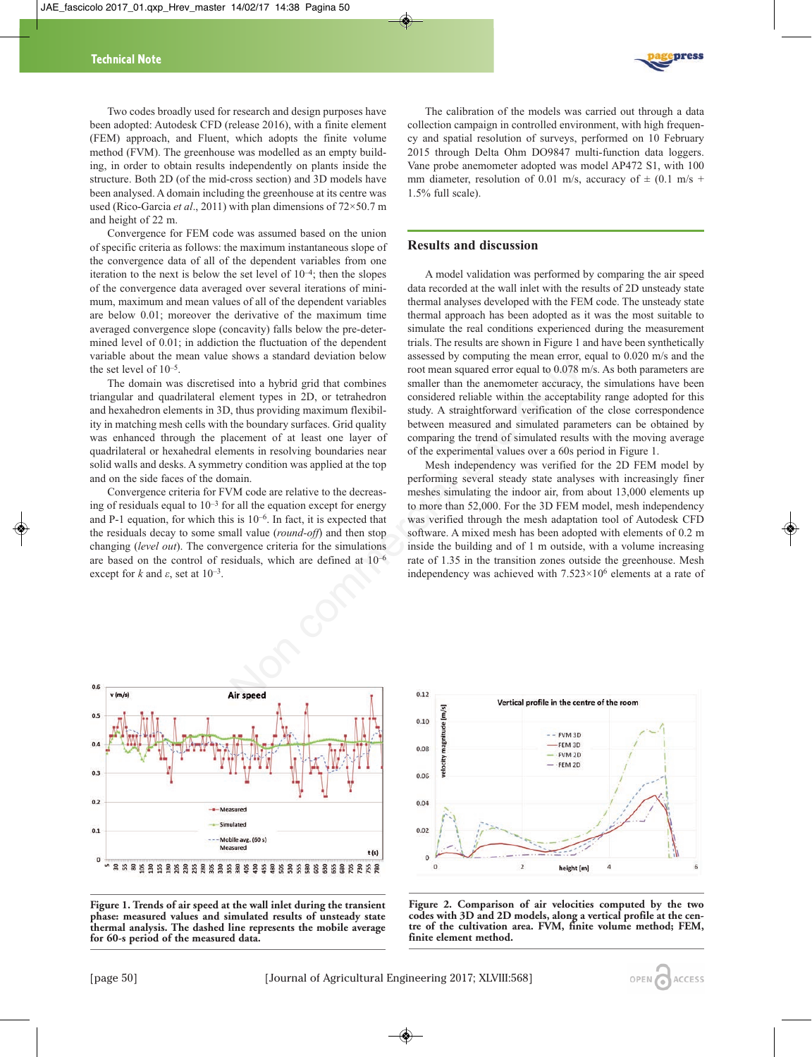press

Two codes broadly used for research and design purposes have been adopted: Autodesk CFD (release 2016), with a finite element (FEM) approach, and Fluent, which adopts the finite volume method (FVM). The greenhouse was modelled as an empty building, in order to obtain results independently on plants inside the structure. Both 2D (of the mid-cross section) and 3D models have been analysed. A domain including the greenhouse at its centre was used (Rico-Garcia *et al*., 2011) with plan dimensions of 72×50.7 m and height of 22 m.

Convergence for FEM code was assumed based on the union of specific criteria as follows: the maximum instantaneous slope of the convergence data of all of the dependent variables from one iteration to the next is below the set level of  $10^{-4}$ ; then the slopes of the convergence data averaged over several iterations of minimum, maximum and mean values of all of the dependent variables are below 0.01; moreover the derivative of the maximum time averaged convergence slope (concavity) falls below the pre-determined level of 0.01; in addiction the fluctuation of the dependent variable about the mean value shows a standard deviation below the set level of 10–5.

The domain was discretised into a hybrid grid that combines triangular and quadrilateral element types in 2D, or tetrahedron and hexahedron elements in 3D, thus providing maximum flexibility in matching mesh cells with the boundary surfaces. Grid quality was enhanced through the placement of at least one layer of quadrilateral or hexahedral elements in resolving boundaries near solid walls and desks. A symmetry condition was applied at the top and on the side faces of the domain.

Convergence criteria for FVM code are relative to the decreasing of residuals equal to  $10^{-3}$  for all the equation except for energy and P-1 equation, for which this is  $10^{-6}$ . In fact, it is expected that the residuals decay to some small value (*round-off*) and then stop changing (*level out*). The convergence criteria for the simulations are based on the control of residuals, which are defined at 10–6 except for  $k$  and  $\varepsilon$ , set at  $10^{-3}$ .

The calibration of the models was carried out through a data collection campaign in controlled environment, with high frequency and spatial resolution of surveys, performed on 10 February 2015 through Delta Ohm DO9847 multi-function data loggers. Vane probe anemometer adopted was model AP472 S1, with 100 mm diameter, resolution of 0.01 m/s, accuracy of  $\pm$  (0.1 m/s + 1.5% full scale).

#### **Results and discussion**

A model validation was performed by comparing the air speed data recorded at the wall inlet with the results of 2D unsteady state thermal analyses developed with the FEM code. The unsteady state thermal approach has been adopted as it was the most suitable to simulate the real conditions experienced during the measurement trials. The results are shown in Figure 1 and have been synthetically assessed by computing the mean error, equal to 0.020 m/s and the root mean squared error equal to 0.078 m/s. As both parameters are smaller than the anemometer accuracy, the simulations have been considered reliable within the acceptability range adopted for this study. A straightforward verification of the close correspondence between measured and simulated parameters can be obtained by comparing the trend of simulated results with the moving average of the experimental values over a 60s period in Figure 1.

Mesh independency was verified for the 2D FEM model by performing several steady state analyses with increasingly finer meshes simulating the indoor air, from about 13,000 elements up to more than 52,000. For the 3D FEM model, mesh independency was verified through the mesh adaptation tool of Autodesk CFD software. A mixed mesh has been adopted with elements of 0.2 m inside the building and of 1 m outside, with a volume increasing rate of 1.35 in the transition zones outside the greenhouse. Mesh independency was achieved with 7.523×106 elements at a rate of shows a standard deviation below<br>
shows a standard deviation below<br>
noot mean squared error equal to 0.078 m<br>
memet types in 2D, or tetrahedron<br>
considered reliable within the acceptabile<br>
that combines<br>
smaller than the







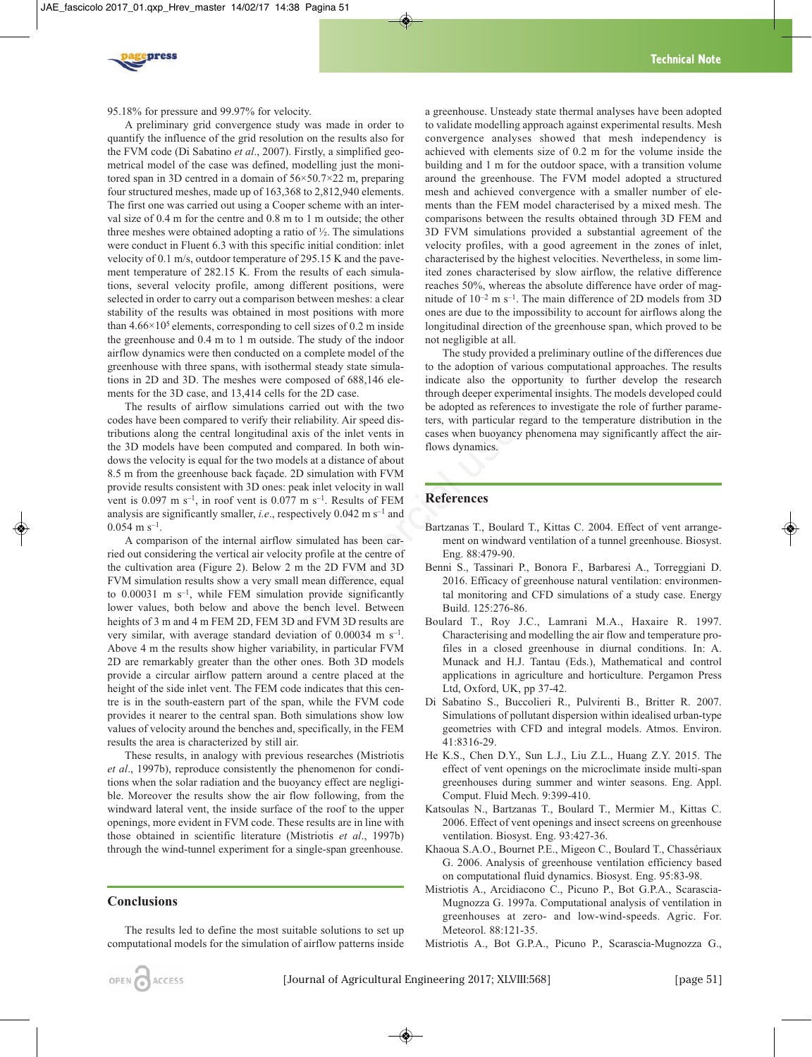

95.18% for pressure and 99.97% for velocity.

A preliminary grid convergence study was made in order to quantify the influence of the grid resolution on the results also for the FVM code (Di Sabatino *et al*., 2007). Firstly, a simplified geometrical model of the case was defined, modelling just the monitored span in 3D centred in a domain of 56×50.7×22 m, preparing four structured meshes, made up of 163,368 to 2,812,940 elements. The first one was carried out using a Cooper scheme with an interval size of 0.4 m for the centre and 0.8 m to 1 m outside; the other three meshes were obtained adopting a ratio of  $\frac{1}{2}$ . The simulations were conduct in Fluent 6.3 with this specific initial condition: inlet velocity of 0.1 m/s, outdoor temperature of 295.15 K and the pavement temperature of 282.15 K. From the results of each simulations, several velocity profile, among different positions, were selected in order to carry out a comparison between meshes: a clear stability of the results was obtained in most positions with more than  $4.66 \times 10^5$  elements, corresponding to cell sizes of 0.2 m inside the greenhouse and 0.4 m to 1 m outside. The study of the indoor airflow dynamics were then conducted on a complete model of the greenhouse with three spans, with isothermal steady state simulations in 2D and 3D. The meshes were composed of 688,146 elements for the 3D case, and 13,414 cells for the 2D case.

The results of airflow simulations carried out with the two codes have been compared to verify their reliability. Air speed distributions along the central longitudinal axis of the inlet vents in the 3D models have been computed and compared. In both windows the velocity is equal for the two models at a distance of about 8.5 m from the greenhouse back façade. 2D simulation with FVM provide results consistent with 3D ones: peak inlet velocity in wall vent is  $0.097$  m s<sup>-1</sup>, in roof vent is  $0.077$  m s<sup>-1</sup>. Results of FEM analysis are significantly smaller, *i.e*., respectively 0.042 m s–1 and  $0.054$  m s<sup>-1</sup>.

A comparison of the internal airflow simulated has been carried out considering the vertical air velocity profile at the centre of the cultivation area (Figure 2). Below 2 m the 2D FVM and 3D FVM simulation results show a very small mean difference, equal to  $0.00031$  m s<sup>-1</sup>, while FEM simulation provide significantly lower values, both below and above the bench level. Between heights of 3 m and 4 m FEM 2D, FEM 3D and FVM 3D results are very similar, with average standard deviation of 0.00034 m s–1. Above 4 m the results show higher variability, in particular FVM 2D are remarkably greater than the other ones. Both 3D models provide a circular airflow pattern around a centre placed at the height of the side inlet vent. The FEM code indicates that this centre is in the south-eastern part of the span, while the FVM code provides it nearer to the central span. Both simulations show low values of velocity around the benches and, specifically, in the FEM results the area is characterized by still air. is, with isothermal steady state simula-<br>
to the adoption of various computates<br>
heshes were composed of 688,146 ele-<br>
indicate also the opportunity to 13.414 cells for the 2D case.<br>
the submodial axis of the indicate als

These results, in analogy with previous researches (Mistriotis *et al*., 1997b), reproduce consistently the phenomenon for conditions when the solar radiation and the buoyancy effect are negligible. Moreover the results show the air flow following, from the windward lateral vent, the inside surface of the roof to the upper openings, more evident in FVM code. These results are in line with those obtained in scientific literature (Mistriotis *et al*., 1997b) through the wind-tunnel experiment for a single-span greenhouse.

## **Conclusions**

The results led to define the most suitable solutions to set up computational models for the simulation of airflow patterns inside a greenhouse. Unsteady state thermal analyses have been adopted to validate modelling approach against experimental results. Mesh convergence analyses showed that mesh independency is achieved with elements size of 0.2 m for the volume inside the building and 1 m for the outdoor space, with a transition volume around the greenhouse. The FVM model adopted a structured mesh and achieved convergence with a smaller number of elements than the FEM model characterised by a mixed mesh. The comparisons between the results obtained through 3D FEM and 3D FVM simulations provided a substantial agreement of the velocity profiles, with a good agreement in the zones of inlet, characterised by the highest velocities. Nevertheless, in some limited zones characterised by slow airflow, the relative difference reaches 50%, whereas the absolute difference have order of magnitude of  $10^{-2}$  m s<sup>-1</sup>. The main difference of 2D models from 3D ones are due to the impossibility to account for airflows along the longitudinal direction of the greenhouse span, which proved to be not negligible at all.

The study provided a preliminary outline of the differences due to the adoption of various computational approaches. The results indicate also the opportunity to further develop the research through deeper experimental insights. The models developed could be adopted as references to investigate the role of further parameters, with particular regard to the temperature distribution in the cases when buoyancy phenomena may significantly affect the airflows dynamics.

## **References**

- Bartzanas T., Boulard T., Kittas C. 2004. Effect of vent arrangement on windward ventilation of a tunnel greenhouse. Biosyst. Eng. 88:479-90.
- Benni S., Tassinari P., Bonora F., Barbaresi A., Torreggiani D. 2016. Efficacy of greenhouse natural ventilation: environmental monitoring and CFD simulations of a study case. Energy Build. 125:276-86.
- Boulard T., Roy J.C., Lamrani M.A., Haxaire R. 1997. Characterising and modelling the air flow and temperature profiles in a closed greenhouse in diurnal conditions. In: A. Munack and H.J. Tantau (Eds.), Mathematical and control applications in agriculture and horticulture. Pergamon Press Ltd, Oxford, UK, pp 37-42.
- Di Sabatino S., Buccolieri R., Pulvirenti B., Britter R. 2007. Simulations of pollutant dispersion within idealised urban-type geometries with CFD and integral models. Atmos. Environ. 41:8316-29.
- He K.S., Chen D.Y., Sun L.J., Liu Z.L., Huang Z.Y. 2015. The effect of vent openings on the microclimate inside multi-span greenhouses during summer and winter seasons. Eng. Appl. Comput. Fluid Mech. 9:399-410.
- Katsoulas N., Bartzanas T., Boulard T., Mermier M., Kittas C. 2006. Effect of vent openings and insect screens on greenhouse ventilation. Biosyst. Eng. 93:427-36.
- Khaoua S.A.O., Bournet P.E., Migeon C., Boulard T., Chassériaux G. 2006. Analysis of greenhouse ventilation efficiency based on computational fluid dynamics. Biosyst. Eng. 95:83-98.
- Mistriotis A., Arcidiacono C., Picuno P., Bot G.P.A., Scarascia-Mugnozza G. 1997a. Computational analysis of ventilation in greenhouses at zero- and low-wind-speeds. Agric. For. Meteorol. 88:121-35.
- Mistriotis A., Bot G.P.A., Picuno P., Scarascia-Mugnozza G.,